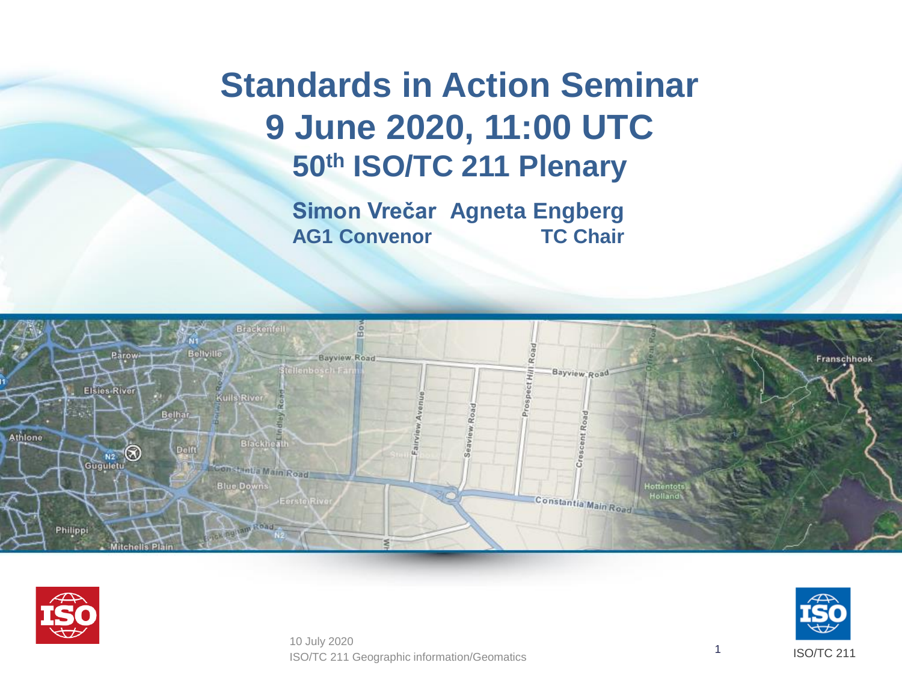### **Standards in Action Seminar 9 June 2020, 11:00 UTC 50th ISO/TC 211 Plenary**

**Simon Vrečar Agneta Engberg AG1 Convenor TC Chair**





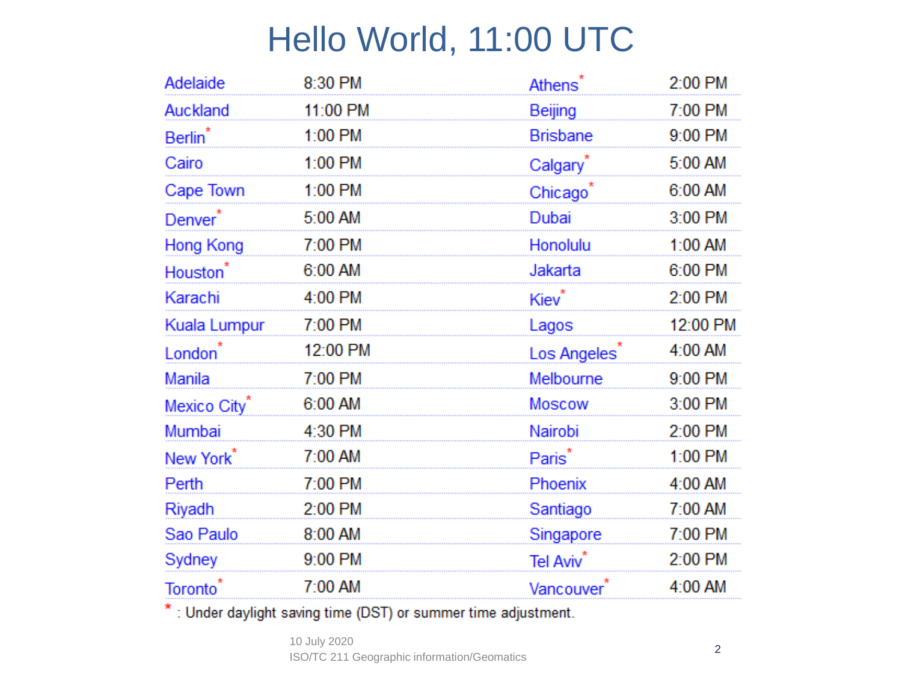## Hello World, 11:00 UTC

| 8:30 PM  | Athens <sup>®</sup>   | 2:00 PM  |
|----------|-----------------------|----------|
| 11:00 PM | Beijing               | 7:00 PM  |
| 1:00 PM  | <b>Brisbane</b>       | 9:00 PM  |
| 1:00 PM  | Calgary <sup>*</sup>  | 5:00 AM  |
| 1:00 PM  | Chicago <sup>®</sup>  | 6:00 AM  |
| 5:00 AM  | Dubai                 | 3:00 PM  |
| 7:00 PM  | Honolulu              | 1:00 AM  |
| 6:00 AM  | Jakarta               | 6:00 PM  |
| 4:00 PM  | Kiev <sup>*</sup>     | 2:00 PM  |
| 7:00 PM  | Lagos                 | 12:00 PM |
| 12:00 PM | Los Angeles           | 4:00 AM  |
|          |                       |          |
| 7:00 PM  | Melbourne             | 9:00 PM  |
| 6:00 AM  | <b>Moscow</b>         | 3:00 PM  |
| 4:30 PM  | Nairobi               | 2:00 PM  |
| 7:00 AM  | Paris <sup>*</sup>    | 1:00 PM  |
| 7:00 PM  | Phoenix               | 4:00 AM  |
| 2:00 PM  | Santiago              | 7:00 AM  |
| 8:00 AM  | Singapore             | 7:00 PM  |
| 9:00 PM  | Tel Aviv <sup>*</sup> | 2:00 PM  |
|          |                       |          |

\*: Under daylight saving time (DST) or summer time adjustment.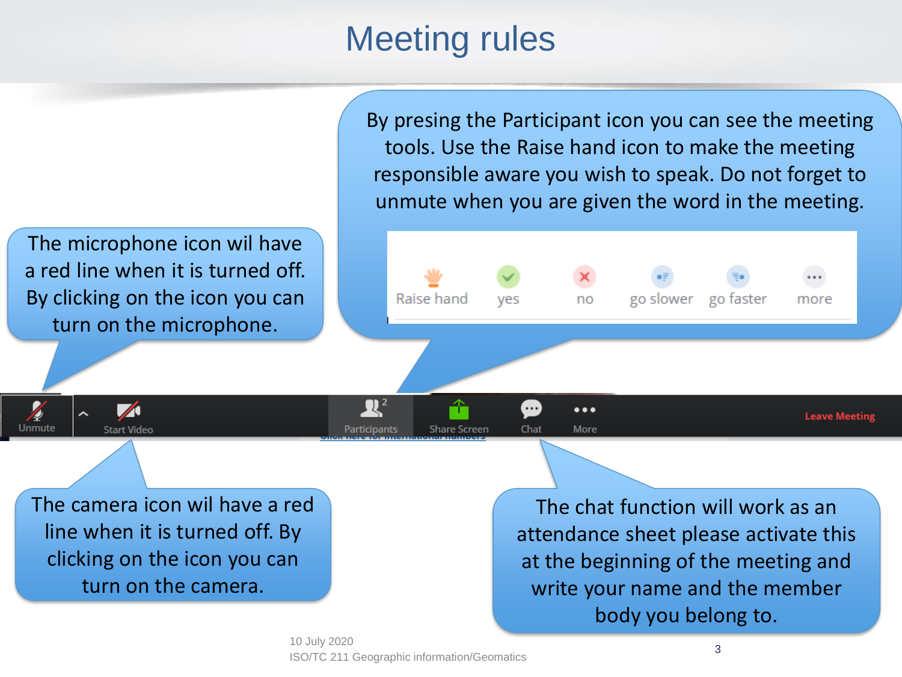### Meeting rules

By presing the Participant icon you can see the meeting tools. Use the Raise hand icon to make the meeting responsible aware you wish to speak. Do not forget to unmute when you are given the word in the meeting.

The microphone icon wil have a red line when it is turned off. By clicking on the icon you can turn on the microphone.

 $\blacktriangledown$ 

**Start Video** 

Unmute



The camera icon wil have a red line when it is turned off. By clicking on the icon you can turn on the camera.

The chat function will work as an attendance sheet please activate this at the beginning of the meeting and write your name and the member body you belong to.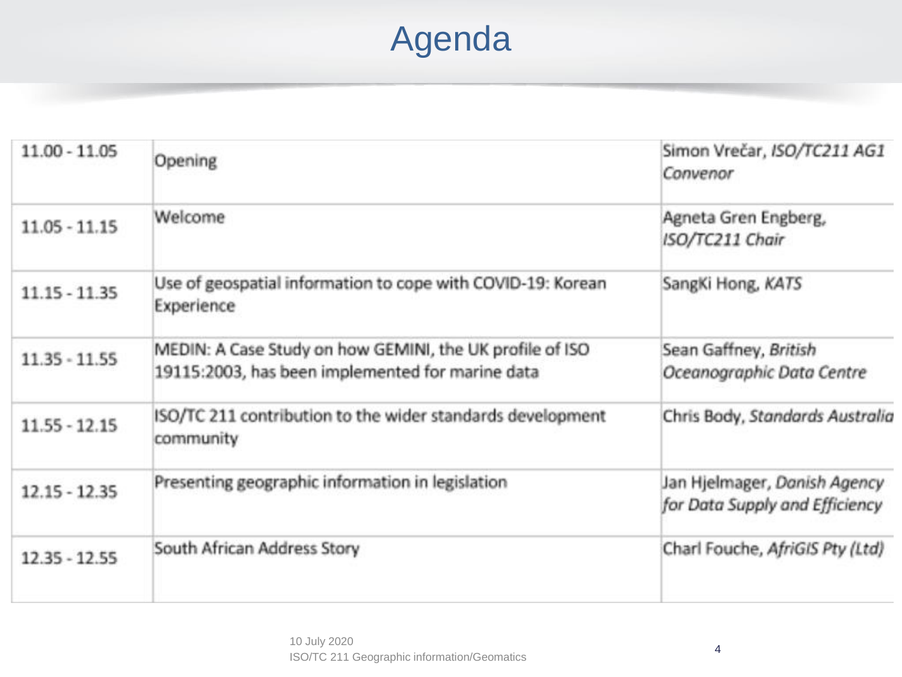# Agenda

| $11.00 - 11.05$ | Opening                                                                                                      | Simon Vrečar, ISO/TC211 AG1<br>Convenor                        |
|-----------------|--------------------------------------------------------------------------------------------------------------|----------------------------------------------------------------|
| $11.05 - 11.15$ | Welcome                                                                                                      | Agneta Gren Engberg,<br>ISO/TC211 Chair                        |
| $11.15 - 11.35$ | Use of geospatial information to cope with COVID-19: Korean<br>Experience                                    | SangKi Hong, KATS                                              |
| $11.35 - 11.55$ | MEDIN: A Case Study on how GEMINI, the UK profile of ISO<br>19115:2003, has been implemented for marine data | Sean Gaffney, British<br>Oceanographic Data Centre             |
| $11.55 - 12.15$ | ISO/TC 211 contribution to the wider standards development<br>community                                      | Chris Body, Standards Australia                                |
| $12.15 - 12.35$ | Presenting geographic information in legislation                                                             | Jan Hjelmager, Danish Agency<br>for Data Supply and Efficiency |
| $12.35 - 12.55$ | South African Address Story                                                                                  | Charl Fouche, AfriGIS Pty (Ltd)                                |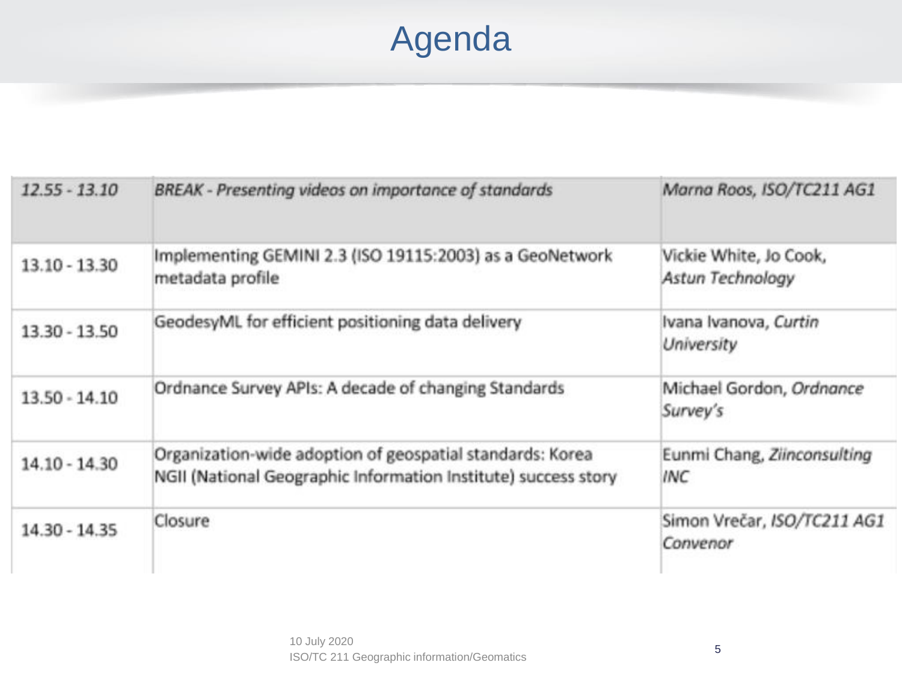# Agenda

| $12.55 - 13.10$ | BREAK - Presenting videos on importance of standards                                                                        | Marna Roos, ISO/TC211 AG1                  |
|-----------------|-----------------------------------------------------------------------------------------------------------------------------|--------------------------------------------|
| $13.10 - 13.30$ | Implementing GEMINI 2.3 (ISO 19115:2003) as a GeoNetwork<br>metadata profile                                                | Vickie White, Jo Cook,<br>Astun Technology |
| 13.30 - 13.50   | GeodesyML for efficient positioning data delivery                                                                           | Ivana Ivanova, Curtin<br>University        |
| $13.50 - 14.10$ | Ordnance Survey APIs: A decade of changing Standards                                                                        | Michael Gordon, Ordnance<br>Survey's       |
| $14.10 - 14.30$ | Organization-wide adoption of geospatial standards: Korea<br>NGII (National Geographic Information Institute) success story | Eunmi Chang, Ziinconsulting<br>INC         |
| 14.30 - 14.35   | Closure                                                                                                                     | Simon Vrečar, ISO/TC211 AG1<br>Convenor    |